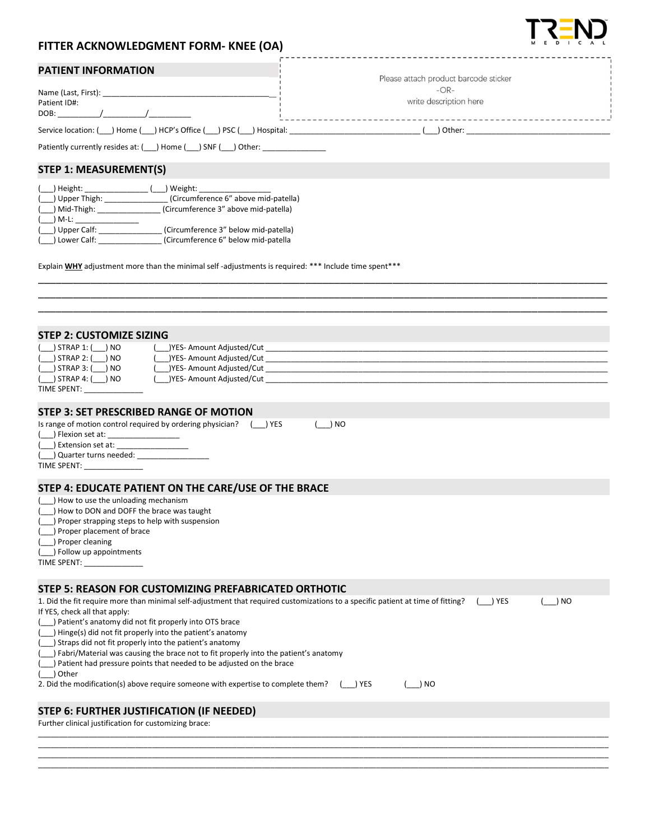## FITTER ACKNOWLEDGMENT FORM- KNEE (OA)

|  | PATIENT INFORMATION |
|--|---------------------|
|--|---------------------|

| <b>FAILENT INFUNNIATION</b>                                    | Please attach product barcode sticker |
|----------------------------------------------------------------|---------------------------------------|
| Name (Last, First):                                            | $-OR-$                                |
| Patient ID#:                                                   | write description here                |
| DOB:                                                           |                                       |
| Service location: () Home () HCP's Office () PSC () Hospital:  | Other:                                |
| Patiently currently resides at: ( ) Home ( ) SNF (<br>) Other: |                                       |

STEP 1: MEASUREMENT(S)

| $($ ) Height:      | ) Weight:                            |
|--------------------|--------------------------------------|
| $($ ) Upper Thigh: | (Circumference 6" above mid-patella) |
| $( )$ Mid-Thigh:   | (Circumference 3" above mid-patella) |
| ) M-L:             |                                      |
| ( ) Upper Calf:    | (Circumference 3" below mid-patella) |
| ( ) Lower Calf:    | (Circumference 6" below mid-patella  |

Explain **WHY** adjustment more than the minimal self-adjustments is required: \*\*\* Include time spent\*\*\*

| STEP 2: CUSTOMIZE SIZING                                      |                                                                                                                                                                                                                                     |
|---------------------------------------------------------------|-------------------------------------------------------------------------------------------------------------------------------------------------------------------------------------------------------------------------------------|
|                                                               |                                                                                                                                                                                                                                     |
|                                                               | (△ ) STRAP 2: (△ ) NO<br>(△ ) STRAP 2: (△ ) NO (△ )YES- Amount Adjusted/Cut △ (△ ) Contract and Contract and Contract and Contract and<br>(△ ) STRAP 3: (△ ) NO (△ )YES- Amount Adjusted/Cut △ (△ ) Contract and Contract and Contr |
|                                                               |                                                                                                                                                                                                                                     |
| ( ___ ) STRAP 4: ( ___ ) NO                                   | ( ) YES- Amount Adjusted/Cut                                                                                                                                                                                                        |
| TIME SPENT:                                                   |                                                                                                                                                                                                                                     |
| STEP 3: SET PRESCRIBED RANGE OF MOTION                        |                                                                                                                                                                                                                                     |
|                                                               | Is range of motion control required by ordering physician? () YES                                                                                                                                                                   |
| ( ) Flexion set at: _____________________                     | ) NO                                                                                                                                                                                                                                |
|                                                               |                                                                                                                                                                                                                                     |
|                                                               |                                                                                                                                                                                                                                     |
| TIME SPENT: TIME                                              |                                                                                                                                                                                                                                     |
|                                                               |                                                                                                                                                                                                                                     |
|                                                               | STEP 4: EDUCATE PATIENT ON THE CARE/USE OF THE BRACE                                                                                                                                                                                |
| (__) How to use the unloading mechanism                       |                                                                                                                                                                                                                                     |
| () How to DON and DOFF the brace was taught                   |                                                                                                                                                                                                                                     |
| () Proper strapping steps to help with suspension             |                                                                                                                                                                                                                                     |
| (__) Proper placement of brace                                |                                                                                                                                                                                                                                     |
| (__) Proper cleaning                                          |                                                                                                                                                                                                                                     |
| (__) Follow up appointments                                   |                                                                                                                                                                                                                                     |
|                                                               |                                                                                                                                                                                                                                     |
|                                                               |                                                                                                                                                                                                                                     |
|                                                               | STEP 5: REASON FOR CUSTOMIZING PREFABRICATED ORTHOTIC                                                                                                                                                                               |
|                                                               | 1. Did the fit require more than minimal self-adjustment that required customizations to a specific patient at time of fitting? () YES<br>) NO                                                                                      |
| If YES, check all that apply:                                 |                                                                                                                                                                                                                                     |
| (__) Patient's anatomy did not fit properly into OTS brace    |                                                                                                                                                                                                                                     |
| (__) Hinge(s) did not fit properly into the patient's anatomy |                                                                                                                                                                                                                                     |
| (__) Straps did not fit properly into the patient's anatomy   | (___) Fabri/Material was causing the brace not to fit properly into the patient's anatomy                                                                                                                                           |
|                                                               | (___) Patient had pressure points that needed to be adjusted on the brace                                                                                                                                                           |
| (__) Other                                                    |                                                                                                                                                                                                                                     |
|                                                               | 2. Did the modification(s) above require someone with expertise to complete them? () YES<br>$($ $)$ NO                                                                                                                              |
|                                                               |                                                                                                                                                                                                                                     |
| STEP 6: FURTHER JUSTIFICATION (IF NEEDED)                     |                                                                                                                                                                                                                                     |
| Further clinical justification for customizing brace:         |                                                                                                                                                                                                                                     |
|                                                               |                                                                                                                                                                                                                                     |

\_\_\_\_\_\_\_\_\_\_\_\_\_\_\_\_\_\_\_\_\_\_\_\_\_\_\_\_\_\_\_\_\_\_\_\_\_\_\_\_\_\_\_\_\_\_\_\_\_\_\_\_\_\_\_\_\_\_\_\_\_\_\_\_\_\_\_\_\_\_\_\_\_\_\_\_\_\_\_\_\_\_\_\_\_\_\_\_\_\_\_\_\_\_\_\_\_\_\_\_\_\_\_\_\_\_\_\_\_\_\_\_\_\_\_\_\_\_\_\_\_\_\_\_\_\_\_\_\_\_\_\_\_\_\_ \_\_\_\_\_\_\_\_\_\_\_\_\_\_\_\_\_\_\_\_\_\_\_\_\_\_\_\_\_\_\_\_\_\_\_\_\_\_\_\_\_\_\_\_\_\_\_\_\_\_\_\_\_\_\_\_\_\_\_\_\_\_\_\_\_\_\_\_\_\_\_\_\_\_\_\_\_\_\_\_\_\_\_\_\_\_\_\_\_\_\_\_\_\_\_\_\_\_\_\_\_\_\_\_\_\_\_\_\_\_\_\_\_\_\_\_\_\_\_\_\_\_\_\_\_\_\_\_\_\_\_\_\_\_\_ \_\_\_\_\_\_\_\_\_\_\_\_\_\_\_\_\_\_\_\_\_\_\_\_\_\_\_\_\_\_\_\_\_\_\_\_\_\_\_\_\_\_\_\_\_\_\_\_\_\_\_\_\_\_\_\_\_\_\_\_\_\_\_\_\_\_\_\_\_\_\_\_\_\_\_\_\_\_\_\_\_\_\_\_\_\_\_\_\_\_\_\_\_\_\_\_\_\_\_\_\_\_\_\_\_\_\_\_\_\_\_\_\_\_\_\_\_\_\_\_\_\_\_\_\_\_\_\_\_\_\_\_\_\_\_

\_\_\_\_\_\_\_\_\_\_\_\_\_\_\_\_\_\_\_\_\_\_\_\_\_\_\_\_\_\_\_\_\_\_\_\_\_\_\_\_\_\_\_\_\_\_\_\_\_\_\_\_\_\_\_\_\_\_\_\_\_\_\_\_\_\_\_\_\_\_\_\_\_\_\_\_\_\_\_\_\_\_\_\_\_\_\_\_\_\_\_\_\_\_\_\_\_\_ \_\_\_\_\_\_\_\_\_\_\_\_\_\_\_\_\_\_\_\_\_\_\_\_\_\_\_\_\_\_\_\_\_\_\_\_\_\_\_\_\_\_\_\_\_\_\_\_\_\_\_\_\_\_\_\_\_\_\_\_\_\_\_\_\_\_\_\_\_\_\_\_\_\_\_\_\_\_\_\_\_\_\_\_\_\_\_\_\_\_\_\_\_\_\_\_\_\_



---------